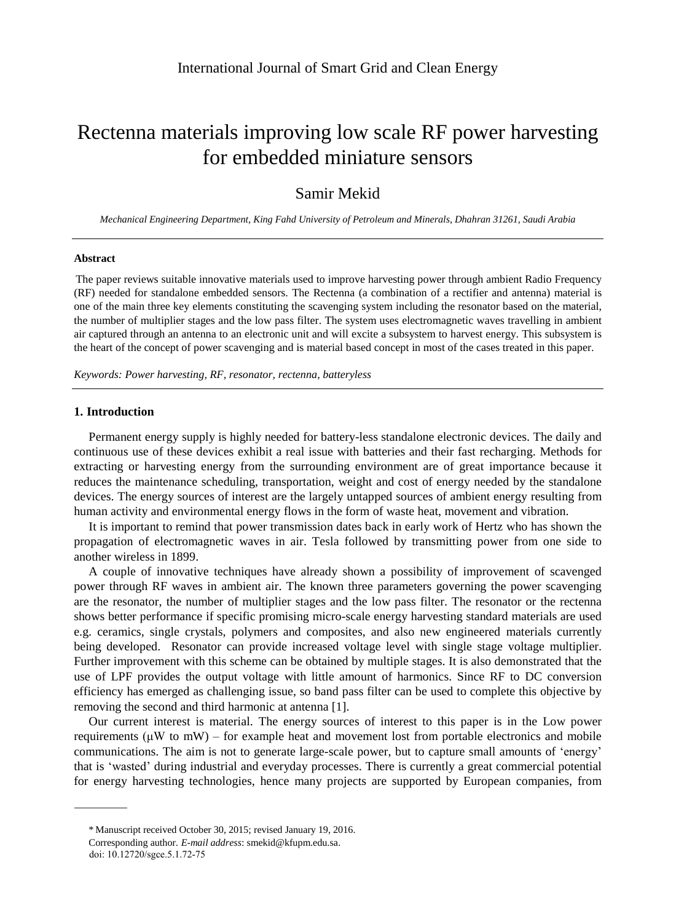# Rectenna materials improving low scale RF power harvesting for embedded miniature sensors

# Samir Mekid

*Mechanical Engineering Department, King Fahd University of Petroleum and Minerals, Dhahran 31261, Saudi Arabia*

#### **Abstract**

The paper reviews suitable innovative materials used to improve harvesting power through ambient Radio Frequency (RF) needed for standalone embedded sensors. The Rectenna (a combination of a rectifier and antenna) material is one of the main three key elements constituting the scavenging system including the resonator based on the material, the number of multiplier stages and the low pass filter. The system uses electromagnetic waves travelling in ambient air captured through an antenna to an electronic unit and will excite a subsystem to harvest energy. This subsystem is the heart of the concept of power scavenging and is material based concept in most of the cases treated in this paper.

*Keywords: Power harvesting, RF, resonator, rectenna, batteryless*

### **1. Introduction**

Permanent energy supply is highly needed for battery-less standalone electronic devices. The daily and continuous use of these devices exhibit a real issue with batteries and their fast recharging. Methods for extracting or harvesting energy from the surrounding environment are of great importance because it reduces the maintenance scheduling, transportation, weight and cost of energy needed by the standalone devices. The energy sources of interest are the largely untapped sources of ambient energy resulting from human activity and environmental energy flows in the form of waste heat, movement and vibration.

It is important to remind that power transmission dates back in early work of Hertz who has shown the propagation of electromagnetic waves in air. Tesla followed by transmitting power from one side to another wireless in 1899.

A couple of innovative techniques have already shown a possibility of improvement of scavenged power through RF waves in ambient air. The known three parameters governing the power scavenging are the resonator, the number of multiplier stages and the low pass filter. The resonator or the rectenna shows better performance if specific promising micro-scale energy harvesting standard materials are used e.g. ceramics, single crystals, polymers and composites, and also new engineered materials currently being developed. Resonator can provide increased voltage level with single stage voltage multiplier. Further improvement with this scheme can be obtained by multiple stages. It is also demonstrated that the use of LPF provides the output voltage with little amount of harmonics. Since RF to DC conversion efficiency has emerged as challenging issue, so band pass filter can be used to complete this objective by removing the second and third harmonic at antenna [1].

Our current interest is material. The energy sources of interest to this paper is in the Low power requirements  $(\mu W$  to mW) – for example heat and movement lost from portable electronics and mobile communications. The aim is not to generate large-scale power, but to capture small amounts of 'energy' that is 'wasted' during industrial and everyday processes. There is currently a great commercial potential for energy harvesting technologies, hence many projects are supported by European companies, from

Manuscript received October 30, 2015; revised January 19, 2016. \*

*E-mail address*: smekid@kfupm.edu.sa. Corresponding author.

doi: 10.12720/sgce.5.1.72-75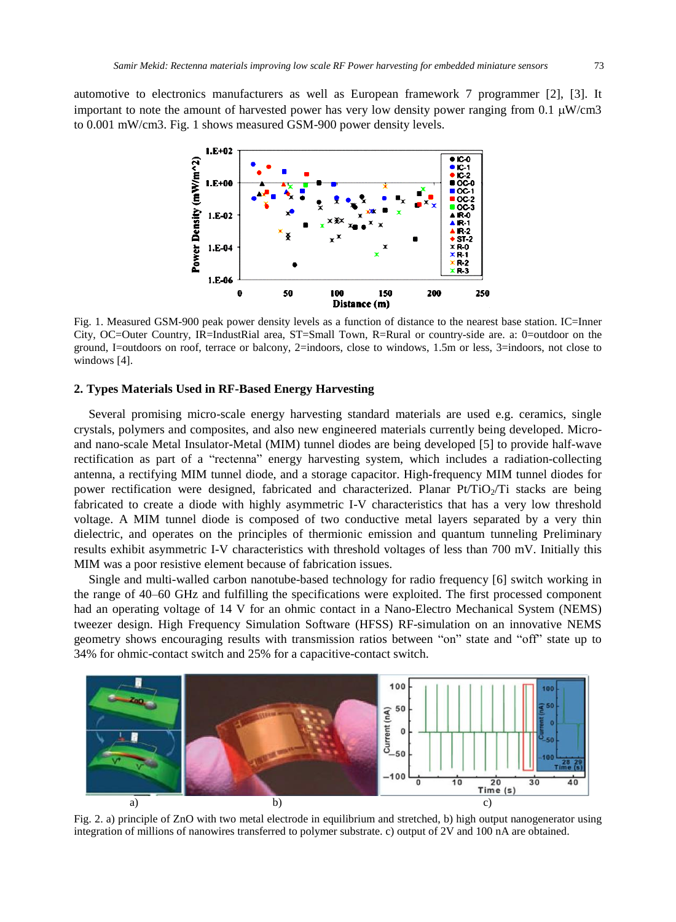automotive to electronics manufacturers as well as European framework 7 programmer [2], [3]. It important to note the amount of harvested power has very low density power ranging from 0.1  $\mu$ W/cm3 to 0.001 mW/cm3. Fig. 1 shows measured GSM-900 power density levels.



Fig. 1. Measured GSM-900 peak power density levels as a function of distance to the nearest base station. IC=Inner City, OC=Outer Country, IR=IndustRial area, ST=Small Town, R=Rural or country-side are. a: 0=outdoor on the ground, I=outdoors on roof, terrace or balcony, 2=indoors, close to windows, 1.5m or less, 3=indoors, not close to windows [4].

## **2. Types Materials Used in RF-Based Energy Harvesting**

Several promising micro-scale energy harvesting standard materials are used e.g. ceramics, single crystals, polymers and composites, and also new engineered materials currently being developed. Microand nano-scale Metal Insulator-Metal (MIM) tunnel diodes are being developed [5] to provide half-wave rectification as part of a "rectenna" energy harvesting system, which includes a radiation-collecting antenna, a rectifying MIM tunnel diode, and a storage capacitor. High-frequency MIM tunnel diodes for power rectification were designed, fabricated and characterized. Planar Pt/TiO<sub>2</sub>/Ti stacks are being fabricated to create a diode with highly asymmetric I-V characteristics that has a very low threshold voltage. A MIM tunnel diode is composed of two conductive metal layers separated by a very thin dielectric, and operates on the principles of thermionic emission and quantum tunneling Preliminary results exhibit asymmetric I-V characteristics with threshold voltages of less than 700 mV. Initially this MIM was a poor resistive element because of fabrication issues.

Single and multi-walled carbon nanotube-based technology for radio frequency [6] switch working in the range of 40–60 GHz and fulfilling the specifications were exploited. The first processed component had an operating voltage of 14 V for an ohmic contact in a Nano-Electro Mechanical System (NEMS) tweezer design. High Frequency Simulation Software (HFSS) RF-simulation on an innovative NEMS geometry shows encouraging results with transmission ratios between "on" state and "off" state up to 34% for ohmic-contact switch and 25% for a capacitive-contact switch.



Fig. 2. a) principle of ZnO with two metal electrode in equilibrium and stretched, b) high output nanogenerator using integration of millions of nanowires transferred to polymer substrate. c) output of 2V and 100 nA are obtained.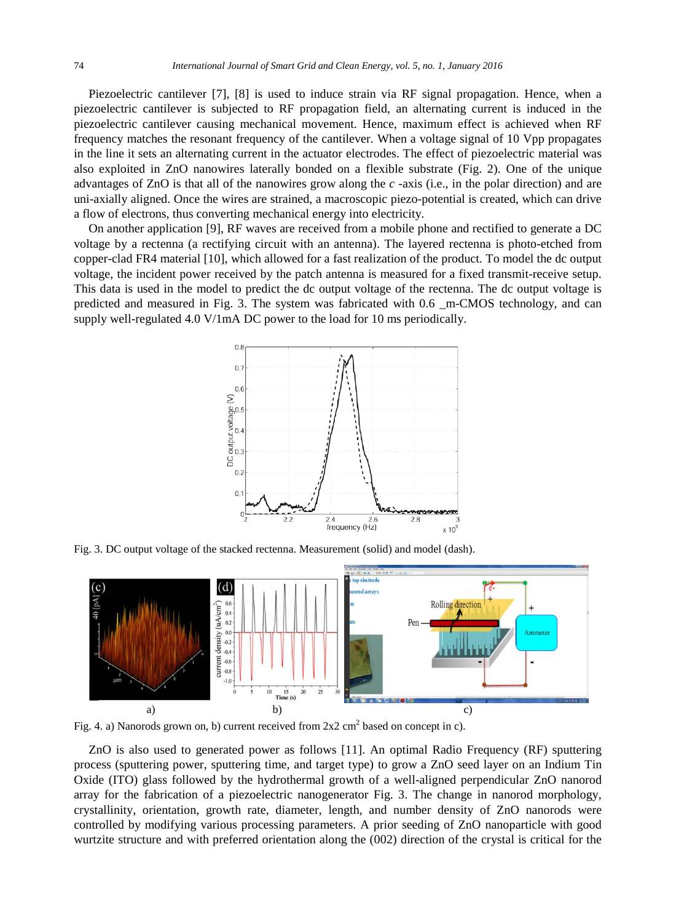Piezoelectric cantilever [7], [8] is used to induce strain via RF signal propagation. Hence, when a piezoelectric cantilever is subjected to RF propagation field, an alternating current is induced in the piezoelectric cantilever causing mechanical movement. Hence, maximum effect is achieved when RF frequency matches the resonant frequency of the cantilever. When a voltage signal of 10 Vpp propagates in the line it sets an alternating current in the actuator electrodes. The effect of piezoelectric material was also exploited in ZnO nanowires laterally bonded on a flexible substrate (Fig. 2). One of the unique advantages of ZnO is that all of the nanowires grow along the *c* -axis (i.e., in the polar direction) and are uni-axially aligned. Once the wires are strained, a macroscopic piezo-potential is created, which can drive a flow of electrons, thus converting mechanical energy into electricity.

On another application [9], RF waves are received from a mobile phone and rectified to generate a DC voltage by a rectenna (a rectifying circuit with an antenna). The layered rectenna is photo-etched from copper-clad FR4 material [10], which allowed for a fast realization of the product. To model the dc output voltage, the incident power received by the patch antenna is measured for a fixed transmit-receive setup. This data is used in the model to predict the dc output voltage of the rectenna. The dc output voltage is predicted and measured in Fig. 3. The system was fabricated with 0.6 \_m-CMOS technology, and can supply well-regulated 4.0 V/1mA DC power to the load for 10 ms periodically.



Fig. 3. DC output voltage of the stacked rectenna. Measurement (solid) and model (dash).



Fig. 4. a) Nanorods grown on, b) current received from  $2x2 \text{ cm}^2$  based on concept in c).

ZnO is also used to generated power as follows [11]. An optimal Radio Frequency (RF) sputtering process (sputtering power, sputtering time, and target type) to grow a ZnO seed layer on an Indium Tin Oxide (ITO) glass followed by the hydrothermal growth of a well-aligned perpendicular ZnO nanorod array for the fabrication of a piezoelectric nanogenerator Fig. 3. The change in nanorod morphology, crystallinity, orientation, growth rate, diameter, length, and number density of ZnO nanorods were controlled by modifying various processing parameters. A prior seeding of ZnO nanoparticle with good wurtzite structure and with preferred orientation along the (002) direction of the crystal is critical for the